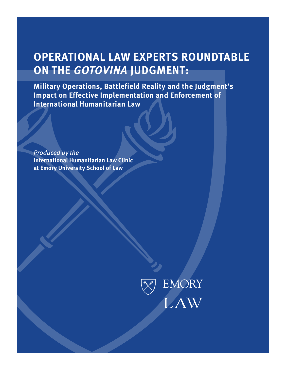# **OPERATIONAL LAW EXPERTS ROUNDTABLE ON THE** *GOTOVINA* **JUDGMENT:**

**Military Operations, Battlefield Reality and the Judgment's Impact on Effective Implementation and Enforcement of International Humanitarian Law**

*Produced by the*  **International Humanitarian Law Clinic at Emory University School of Law** 

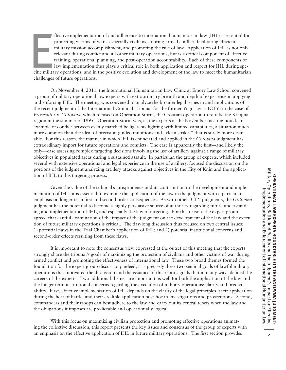Experience<br>
Cific milita<br>
Challenges ffective implementation of and adherence to international humanitarian law (IHL) is essential for protecting victims of war—especially civilians—during armed conflict, facilitating efficient military mission accomplishment, and promoting the rule of law. Application of IHL is not only relevant during conflict and all other military operations, but is a critical component of effective training, operational planning, and post-operation accountability. Each of these components of law implementation thus plays a critical role in both application and respect for IHL during specific military operations, and in the positive evolution and development of the law to meet the humanitarian challenges of future operations.

On November 4, 2011, the International Humanitarian Law Clinic at Emory Law School convened a group of military operational law experts with extraordinary breadth and depth of experience in applying and enforcing IHL. The meeting was convened to analyze the broader legal issues in and implications of the recent judgment of the International Criminal Tribunal for the former Yugoslavia (ICTY) in the case of *Prosecutor v. Gotovina*, which focused on Operation Storm, the Croatian operation to re-take the Kraijina region in the summer of 1995. Operation Storm was, as the experts at the November meeting noted, an example of conflict between evenly matched belligerents fighting with limited capabilities, a situation much more common than the ideal of precision-guided munitions and "clean strikes" that is surely more desirable. For this reason, the manner in which IHL is enunciated and applied in the *Gotovina* judgment has extraordinary import for future operations and conflicts. The case is apparently the first—and likely the only—case assessing complex targeting decisions involving the use of artillery against a range of military objectives in populated areas during a sustained assault. In particular, the group of experts, which included several with extensive operational and legal experience in the use of artillery, focused the discussion on the portions of the judgment analyzing artillery attacks against objectives in the City of Knin and the application of IHL to this targeting process.

Given the value of the tribunal's jurisprudence and its contribution to the development and implementation of IHL, it is essential to examine the application of the law in the judgment with a particular emphasis on longer-term first and second order consequences. As with other ICTY judgments, the *Gotovina* judgment has the potential to become a highly persuasive source of authority regarding future understanding and implementation of IHL, and especially the law of targeting. For this reason, the expert group agreed that careful examination of the impact of the judgment on the development of the law and the execution of future military operations is critical. The day-long discussion thus focused on two central issues: 1) potential flaws in the Trial Chamber's application of IHL; and 2) potential institutional concerns and second-order effects resulting from these flaws.

It is important to note the consensus view expressed at the outset of this meeting that the experts strongly share the tribunal's goals of maximizing the protection of civilians and other victims of war during armed conflict and promoting the effectiveness of international law. These two broad themes formed the foundation for the expert group discussion; indeed, it is precisely these two seminal goals of lawful military operations that motivated the discussion and the issuance of this report, goals that in many ways defined the careers of the experts. Two additional themes are important as well for both the application of the law and the longer-term institutional concerns regarding the execution of military operations: clarity and predictability. First, effective implementation of IHL depends on the clarity of the legal principles, their application during the heat of battle, and their credible application post-hoc in investigations and prosecutions. Second, commanders and their troops can best adhere to the law and carry out its central tenets when the law and the obligations it imposes are predictable and operationally logical.

With this focus on maximizing civilian protection and promoting effective operations animating the collective discussion, this report presents the key issues and consensus of the group of experts with an emphasis on the effective application of IHL in future military operations. The first section provides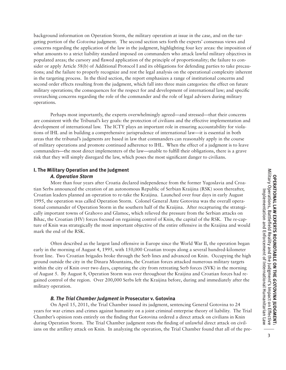background information on Operation Storm, the military operation at issue in the case, and on the targeting portion of the *Gotovina* judgment. The second section sets forth the experts' consensus views and concerns regarding the application of the law in the judgment, highlighting four key areas: the imposition of what amounts to a strict liability standard imposed on commanders who attack lawful military objectives in populated areas; the cursory and flawed application of the principle of proportionality; the failure to consider or apply Article 58(b) of Additional Protocol I and its obligations for defending parties to take precautions; and the failure to properly recognize and rest the legal analysis on the operational complexity inherent in the targeting process. In the third section, the report emphasizes a range of institutional concerns and second order effects resulting from the judgment, which fall into three main categories: the effect on future military operations; the consequences for the respect for and development of international law; and specific overarching concerns regarding the role of the commander and the role of legal advisers during military operations.

Perhaps most importantly, the experts overwhelmingly agreed—and stressed—that their concerns are consistent with the Tribunal's key goals: the protection of civilians and the effective implementation and development of international law. The ICTY plays an important role in ensuring accountability for violations of IHL and in building a comprehensive jurisprudence of international law—it is essential in both areas that the tribunal's judgments are based in law that commanders can reasonably apply in the course of military operations and promote continued adherence to IHL. When the effect of a judgment is to leave commanders—the most direct implementers of the law—unable to fulfill their obligations, there is a grave risk that they will simply disregard the law, which poses the most significant danger to civilians.

#### **I. The Military Operation and the Judgment**

#### *A. Operation Storm*

More than four years after Croatia declared independence from the former Yugoslavia and Croatian Serbs announced the creation of an autonomous Republic of Serbian Kraijina (RSK) soon thereafter, Croatian leaders planned an operation to re-take the Kraijina. Launched over four days in early August 1995, the operation was called Operation Storm. Colonel General Ante Gotovina was the overall operational commander of Operation Storm in the southern half of the Kraijina. After recapturing the strategically important towns of Grahovo and Glamoc, which relieved the pressure from the Serbian attacks on Bihac, the Croatian (HV) forces focused on regaining control of Knin, the capital of the RSK. The re-capture of Knin was strategically the most important objective of the entire offensive in the Kraijina and would mark the end of the RSK.

Often described as the largest land offensive in Europe since the World War II, the operation began early in the morning of August 4, 1995, with 150,000 Croatian troops along a several hundred-kilometer front line. Two Croatian brigades broke through the Serb lines and advanced on Knin. Occupying the high ground outside the city in the Dinara Mountains, the Croatian forces attacked numerous military targets within the city of Knin over two days, capturing the city from retreating Serb forces (SVK) in the morning of August 5. By August 8, Operation Storm was over throughout the Kraijina and Croatian forces had regained control of the region. Over 200,000 Serbs left the Kraijina before, during and immediately after the military operation.

#### *B. The Trial Chamber Judgment in* **Prosecutor v. Gotovina**

On April 15, 2011, the Trial Chamber issued its judgment, sentencing General Gotovina to 24 years for war crimes and crimes against humanity on a joint criminal enterprise theory of liability. The Trial Chamber's opinion rests entirely on the finding that Gotovina ordered a direct attack on civilians in Knin during Operation Storm. The Trial Chamber judgment rests the finding of unlawful direct attack on civilians on the artillery attack on Knin. In analyzing the operation, the Trial Chamber found that all of the pre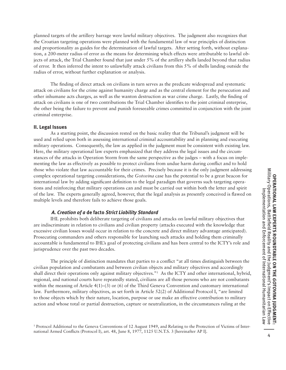planned targets of the artillery barrage were lawful military objectives. The judgment also recognizes that the Croatian targeting operations were planned with the fundamental law of war principles of distinction and proportionality as guides for the determination of lawful targets. After setting forth, without explanation, a 200-meter radius of error as the means for determining which effects were attributable to lawful objects of attack, the Trial Chamber found that just under 5% of the artillery shells landed beyond that radius of error. It then inferred the intent to unlawfully attack civilians from this 5% of shells landing outside the radius of error, without further explanation or analysis.

The finding of direct attack on civilians in turn serves as the predicate widespread and systematic attack on civilians for the crime against humanity charge and as the central element for the persecution and other inhumane acts charges, as well as the wanton destruction as war crime charge. Lastly, the finding of attack on civilians is one of two contributions the Trial Chamber identifies to the joint criminal enterprise, the other being the failure to prevent and punish foreseeable crimes committed in conjunction with the joint criminal enterprise.

#### **II. Legal Issues**

As a starting point, the discussion rested on the basic reality that the Tribunal's judgment will be used and relied upon both in assessing international criminal accountability and in planning and executing military operations. Consequently, the law as applied in the judgment must be consistent with existing law. Here, the military operational law experts emphasized that they address the legal issues and the circumstances of the attacks in Operation Storm from the same perspective as the judges – with a focus on implementing the law as effectively as possible to protect civilians from undue harm during conflict and to hold those who violate that law accountable for their crimes. Precisely because it is the only judgment addressing complex operational targeting considerations, the *Gotovina* case has the potential to be a great beacon for international law by adding significant definition to the legal paradigm that governs such targeting operations and reinforcing that military operations can and must be carried out within both the letter and spirit of the law. The experts generally agreed, however, that the legal analysis as presently conceived is flawed on multiple levels and therefore fails to achieve those goals.

#### *A. Creation of a* **de facto** *Strict Liability Standard*

IHL prohibits both deliberate targeting of civilians and attacks on lawful military objectives that are indiscriminate in relation to civilians and civilian property (attacks executed with the knowledge that excessive civilian losses would occur in relation to the concrete and direct military advantage anticipated). Prosecuting commanders and others responsible for launching such attacks and holding them criminally accountable is fundamental to IHL's goal of protecting civilians and has been central to the ICTY's role and jurisprudence over the past two decades.

The principle of distinction mandates that parties to a conflict "at all times distinguish between the civilian population and combatants and between civilian objects and military objectives and accordingly shall direct their operations only against military objectives."1 As the ICTY and other international, hybrid, regional, and national courts have repeatedly stated, civilians are all those persons who are not combatants within the meaning of Article 4(1)–(3) or (6) of the Third Geneva Convention and customary international law. Furthermore, military objectives, as set forth in Article 52(2) of Additional Protocol I, "are limited to those objects which by their nature, location, purpose or use make an effective contribution to military action and whose total or partial destruction, capture or neutralization, in the circumstances ruling at the

<sup>1</sup> Protocol Additional to the Geneva Conventions of 12 August 1949, and Relating to the Protection of Victims of International Armed Conflicts (Protocol I), art. 48, June 8, 1977, 1125 U.N.T.S. 3 [hereinafter AP I].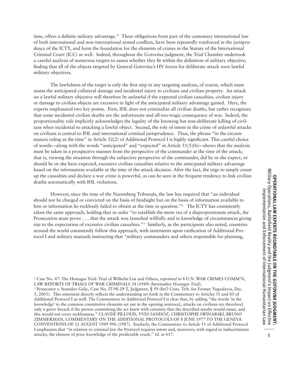time, offers a definite military advantage." These obligations form part of the customary international law of both international and non-international armed conflicts, have been repeatedly reinforced in the jurisprudence of the ICTY, and form the foundation for the elements of crimes in the Statute of the International Criminal Court (ICC) as well. Indeed, throughout the *Gotovina* judgment, the Trial Chamber undertook a careful analysis of numerous targets to assess whether they fit within the definition of military objective, finding that all of the objects targeted by General Gotovina's HV forces for deliberate attack were lawful military objectives.

The lawfulness of the target is only the first step in any targeting analysis, of course, which must assess the anticipated collateral damage and incidental injury to civilians and civilian property. An attack on a lawful military objective will therefore be unlawful if the expected civilian casualties, civilian injury or damage to civilian objects are excessive in light of the anticipated military advantage gained. Here, the experts emphasized two key points. First, IHL does not criminalize all civilian deaths, but rather recognizes that some incidental civilian deaths are the unfortunate and all-too-tragic consequence of war. Indeed, the proportionality rule implicitly acknowledges the legality of the knowing but non-deliberate killing of civilians when incidental to attacking a lawful object. Second, the role of intent in the crime of unlawful attacks on civilians is central to IHL and international criminal jurisprudence. Thus, the phrase "in the circumstances ruling at the time" in Article 52(2) of Additional Protocol I is highly significant. This careful choice of words—along with the words "anticipated" and "expected" in Article  $51(5)(b)$ —shows that the analysis must be taken in a prospective manner from the perspective of the commander at the time of the attack; that is, viewing the situation through the subjective perspective of the commander, did he or she expect, or should he or she have expected, excessive civilian casualties relative to the anticipated military advantage based on the information available at the time of the attack decision. After the fact, the urge to simply count up the casualties and declare a war crime is powerful, as can be seen in the frequent tendency to link civilian deaths automatically with IHL violations.

However, since the time of the Nuremberg Tribunals, the law has required that "an individual should not be charged or convicted on the basis of hindsight but on the basis of information available to him or information he recklessly failed to obtain at the time in question."<sup>2</sup> The ICTY has consistently taken the same approach, holding that in order "to establish the *mens rea* of a disproportionate attack, the Prosecution must prove . . . that the attack was launched willfully and in knowledge of circumstances giving rise to the expectation of excessive civilian casualties."3 Similarly, as the participants also noted, countries around the world consistently follow this approach, with statements upon ratification of Additional Protocol I and military manuals instructing that "military commanders and others responsible for planning,

3 Prosecutor v. Stanislav Galic, Case No. IT-98-29-T, Judgment, ¶ 59 (Int'l Crim. Trib. for Former Yugoslavia, Dec. 5, 2003). This statement directly reflects the understanding set forth in the Commentary to Articles 51 and 85 of Additional Protocol I as well. The Commentary to Additional Protocol I is clear that, by adding "the words 'in the knowledge' to the common constitutive elements set out in the opening sentence[, attacks on civilians are therefore] only a grave breach if the person committing the act knew with certainty that the described results would ensue, and this would not cover recklessness." CLAUDE PILLOUD, YVES SANDOZ, CHRISTOPHE SWINARSKI, BRUNO ZIMMERMAN, COMMENTARY ON THE ADDITIONAL PROTOCOLS OF 8 JUNE 1977 TO THE GENEVA CONVENTIONS OF 12 AUGUST 1949 996 (1987). Similarly, the Commentary to Article 51 of Additional Protocol I emphasizes that "in relation to criminal law the Protocol requires intent and, moreover, with regard to indiscriminate attacks, the element of prior knowledge of the predictable result." *Id.* at 617.

<sup>2</sup> Case No. 47: The Hostages Trial: Trial of Wilhelm List and Others, *reprinted in* 8 U.N. WAR CRIMES COMM'N, LAW REPORTS OF TRIALS OF WAR CRIMINALS 34 (1949) (hereinafter *Hostages Trial*).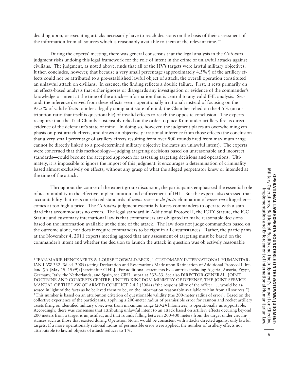deciding upon, or executing attacks necessarily have to reach decisions on the basis of their assessment of the information from all sources which is reasonably available to them at the relevant time."4

During the experts' meeting, there was general consensus that the legal analysis in the *Gotovina*  judgment risks undoing this legal framework for the role of intent in the crime of unlawful attacks against civilians. The judgment, as noted above, finds that all of the HV's targets were lawful military objectives. It then concludes, however, that because a very small percentage (approximately  $4.5\%$ <sup>5</sup>) of the artillery effects could not be attributed to a pre-established lawful object of attack, the overall operation constituted an unlawful attack on civilians. In essence, the finding reflects a double failure. First, it rests primarily on an effects-based analysis that either ignores or disregards any investigation or evidence of the commander's knowledge or intent at the time of the attack—information that is central to any valid IHL analysis. Second, the inference derived from these effects seems operationally irrational: instead of focusing on the 95.5% of valid effects to infer a legally compliant state of mind, the Chamber relied on the 4.5% (an attribution ratio that itself is questionable) of invalid effects to reach the opposite conclusion. The experts recognize that the Trial Chamber ostensibly relied on the order to place Knin under artillery fire as direct evidence of the defendant's state of mind. In doing so, however, the judgment places an overwhelming emphasis on post-attack effects, and draws an objectively irrational inference from those effects (the conclusion that a very small percentage of artillery effects resulting from over 900 rounds fired from maximum range cannot be directly linked to a pre-determined military objective indicates an unlawful intent). The experts were concerned that this methodology—judging targeting decisions based on unreasonable and incorrect standards—could become the accepted approach for assessing targeting decisions and operations. Ultimately, it is impossible to ignore the import of this judgment: it encourages a determination of criminality based almost exclusively on effects, without any grasp of what the alleged perpetrator knew or intended at the time of the attack.

Throughout the course of the expert group discussion, the participants emphasized the essential role of accountability in the effective implementation and enforcement of IHL. But the experts also stressed that accountability that rests on relaxed standards of *mens rea*—or *de facto* elimination of *mens rea* altogether comes at too high a price. The *Gotovina* judgment essentially forces commanders to operate with a standard that accommodates no errors. The legal standard in Additional Protocol I, the ICTY Statute, the ICC Statute and customary international law is that commanders are obligated to make reasonable decisions based on the information available at the time of the attack. The law does not judge commanders based on the outcome alone, nor does it require commanders to be right in all circumstances. Rather, the participants at the November 4, 2011 experts meeting agreed that any assessment of targeting must be based on the commander's intent and whether the decision to launch the attack in question was objectively reasonable

<sup>4</sup> JEAN-MARIE HENCKAERTS & LOUISE DOSWALD-BECK, 1 CUSTOMARY INTERNATIONAL HUMANITAR-IAN LAW 332 (3d ed. 2009) (citing Declaration and Reservations Made upon Ratification of Additional Protocol I, Ireland § 9 (May 19, 1999)) [hereinafter CIHL]. For additional statements by countries including Algeria, Austria, Egypt, Germany, Italy, the Netherlands, and Spain, see CIHL, supra at 332–33. See also DIRECTOR-GENERAL, JOINT DOCTRINE AND CONCEPTS CENTRE, UNITED KINGDOM MINISTRY OF DEFENSE, THE JOINT SERVICE MANUAL OF THE LAW OF ARMED CONFLICT 2.4.2 (2004) ("the responsibility of the officer . . . would be assessed in light of the facts as he believed them to be, on the information reasonably available to him from all sources."). <sup>5</sup>This number is based on an attribution criterion of questionable validity (the 200-meter radius of error). Based on the collective experience of the participants, applying a 200-meter radius of permissible error for cannon and rocket artillery assets firing on identified military objectives from maximum range (20-24 kilometers) is operationally unsupportable. Accordingly, there was consensus that attributing unlawful intent to an attack based on artillery effects occuring beyond 200 meters from a target is unjustified, and that rounds falling between 200-400 meters from the target under circumstances such as those that existed during Operation Storm would be consistent with attacks directed against only lawful targets. If a more operationally rational radius of permissible error were applied, the number of artillery effects not attributable to lawful objects of attack reduces to 1%.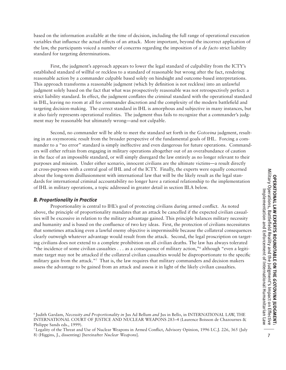based on the information available at the time of decision, including the full range of operational execution variables that influence the actual effects of an attack. More important, beyond the incorrect application of the law, the participants voiced a number of concerns regarding the imposition of a *de facto* strict liability standard for targeting determinations.

First, the judgment's approach appears to lower the legal standard of culpability from the ICTY's established standard of willful or reckless to a standard of reasonable but wrong after the fact, rendering reasonable action by a commander culpable based solely on hindsight and outcome-based interpretations. This approach transforms a reasonable judgment (which by definition is not reckless) into an unlawful judgment solely based on the fact that what was prospectively reasonable was not retrospectively perfect: a strict liability standard. In effect, the judgment conflates the criminal standard with the operational standard in IHL, leaving no room at all for commander discretion and the complexity of the modern battlefield and targeting decision-making. The correct standard in IHL is amorphous and subjective in many instances, but it also fairly represents operational realities. The judgment thus fails to recognize that a commander's judgment may be reasonable but ultimately wrong—and not culpable.

Second, no commander will be able to meet the standard set forth in the *Gotovina* judgment, resulting in an oxymoronic result from the broader perspective of the fundamental goals of IHL. Forcing a commander to a "no error" standard is simply ineffective and even dangerous for future operations. Commanders will either refrain from engaging in military operations altogether out of an overabundance of caution in the face of an impossible standard, or will simply disregard the law entirely as no longer relevant to their purposes and mission. Under either scenario, innocent civilians are the ultimate victims—a result directly at cross-purposes with a central goal of IHL and of the ICTY. Finally, the experts were equally concerned about the long-term disillusionment with international law that will be the likely result as the legal standards for international criminal accountability no longer have a rational relationship to the implementation of IHL in military operations, a topic addressed in greater detail in section III.A below.

#### *B. Proportionality in Practice*

Proportionality is central to IHL's goal of protecting civilians during armed conflict. As noted above, the principle of proportionality mandates that an attack be cancelled if the expected civilian casualties will be excessive in relation to the military advantage gained. This principle balances military necessity and humanity and is based on the confluence of two key ideas. First, the protection of civilians necessitates that sometimes attacking even a lawful enemy objective is impermissible because the collateral consequences clearly outweigh whatever advantage would result from the attack. Second, the legal proscription on targeting civilians does not extend to a complete prohibition on all civilian deaths. The law has always tolerated "the incidence of some civilian casualties . . . as a consequence of military action,"6 although "even a legitimate target may not be attacked if the collateral civilian casualties would be disproportionate to the specific military gain from the attack."7 That is, the law requires that military commanders and decision makers assess the advantage to be gained from an attack and assess it in light of the likely civilian casualties.

<sup>6</sup> Judith Gardam, *Necessity and Proportionality in* Jus Ad Bellum *and* Jus in Bello, in INTERNATIONAL LAW, THE INTERNATIONAL COURT OF JUSTICE AND NUCLEAR WEAPONS 283–4 (Laurence Boisson de Chazournes & Philippe Sands eds., 1999).

<sup>7</sup> Legality of the Threat and Use of Nuclear Weapons in Armed Conflict, Advisory Opinion, 1996 I.C.J. 226, 365 (July 8) (Higgins, J., dissenting) [hereinafter *Nuclear Weapons*].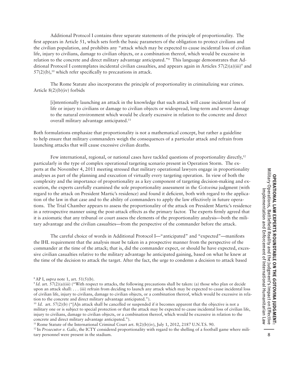Additional Protocol I contains three separate statements of the principle of proportionality. The first appears in Article 51, which sets forth the basic parameters of the obligation to protect civilians and the civilian population, and prohibits any "attack which may be expected to cause incidental loss of civilian life, injury to civilians, damage to civilian objects, or a combination thereof, which would be excessive in relation to the concrete and direct military advantage anticipated."8 This language demonstrates that Additional Protocol I contemplates incidental civilian casualties, and appears again in Articles  $57(2)(a)(iii)^9$  and  $57(2)(b)$ ,<sup>10</sup> which refer specifically to precautions in attack.

The Rome Statute also incorporates the principle of proportionality in criminalizing war crimes. Article 8(2)(b)(iv) forbids

[i]ntentionally launching an attack in the knowledge that such attack will cause incidental loss of life or injury to civilians or damage to civilian objects or widespread, long-term and severe damage to the natural environment which would be clearly excessive in relation to the concrete and direct overall military advantage anticipated.11

Both formulations emphasize that proportionality is not a mathematical concept, but rather a guideline to help ensure that military commanders weigh the consequences of a particular attack and refrain from launching attacks that will cause excessive civilian deaths.

Few international, regional, or national cases have tackled questions of proportionality directly,<sup>12</sup> particularly in the type of complex operational targeting scenario present in Operation Storm. The experts at the November 4, 2011 meeting stressed that military operational lawyers engage in proportionality analyses as part of the planning and execution of virtually every targeting operation. In view of both the complexity and the importance of proportionality as a key component of targeting decision-making and execution, the experts carefully examined the sole proportionality assessment in the *Gotovina* judgment (with regard to the attack on President Martic's residence) and found it deficient, both with regard to the application of the law in that case and to the ability of commanders to apply the law effectively in future operations. The Trial Chamber appears to assess the proportionality of the attack on President Martic's residence in a retrospective manner using the post-attack effects as the primary factor. The experts firmly agreed that it is axiomatic that any tribunal or court assess the elements of the proportionality analysis—both the military advantage and the civilian casualties—from the perspective of the commander before the attack.

The careful choice of words in Additional Protocol I—"anticipated" and "expected"—manifests the IHL requirement that the analysis must be taken in a prospective manner from the perspective of the commander at the time of the attack; that is, did the commander expect, or should he have expected, excessive civilian casualties relative to the military advantage he anticipated gaining, based on what he knew at the time of the decision to attack the target. After the fact, the urge to condemn a decision to attack based

<sup>10</sup> Id. art. 57(2)(b) ("[A]n attack shall be cancelled or suspended if it becomes apparent that the objective is not a military one or is subject to special protection or that the attack may be expected to cause incidental loss of civilian life, injury to civilians, damage to civilian objects, or a combination thereof, which would be excessive in relation to the concrete and direct military advantage anticipated.").

<sup>11</sup> Rome Statute of the International Criminal Court art.  $8(2)(b)(iv)$ , July 1, 2012, 2187 U.N.T.S. 90.

<sup>12</sup> In *Prosecutor v. Galic*, the ICTY considered proportionality with regard to the shelling of a football game where military personnel were present in the stadium.

<sup>8</sup> AP I, *supra* note 1, art. 51(5)(b).

<sup>9</sup>*Id.* art. 57(2)(a)(iii) ("With respect to attacks, the following precautions shall be taken: (a) those who plan or decide upon an attack shall: . . . (iii) refrain from deciding to launch any attack which may be expected to cause incidental loss of civilian life, injury to civilians, damage to civilian objects, or a combination thereof, which would be excessive in relation to the concrete and direct military advantage anticipated.").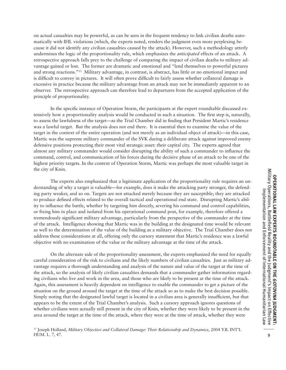retrospective approach falls prey to the challenge of comparing the impact of civilian deaths to military advantage gained or lost. The former are dramatic and emotional and "lend themselves to powerful pictures and strong reactions."13 Military advantage, in contrast, is abstract, has little or no emotional impact and is difficult to convey in pictures. It will often prove difficult to fairly assess whether collateral damage is excessive in practice because the military advantage from an attack may not be immediately apparent to an observer. The retrospective approach can therefore lead to departures from the accepted application of the In the specific instance of Operation Storm, the participants at the expert roundtable discussed extensively how a proportionality analysis would be conducted in such a situation. The first step is, naturally, to assess the lawfulness of the target—as the Trial Chamber did in finding that President Martic's residence was a lawful target. But the analysis does not end there. It is essential then to examine the value of the target in the context of the entire operation (and not merely as an individual object of attack)—in this case, Martic was the supreme military commander of the SVK during a deliberate attack against improved enemy defensive positions protecting their most vital strategic asset: their capital city. The experts agreed that

almost any military commander would consider disrupting the ability of such a commander to influence the command, control, and communication of his forces during the decisive phase of an attack to be one of the highest priority targets. In the context of Operation Storm, Martic was perhaps the most valuable target in the city of Knin.

on actual casualties may be powerful, as can be seen in the frequent tendency to link civilian deaths automatically with IHL violations (which, the experts noted, renders the judgment even more perplexing because it did not identify any civilian casualties caused by the attack). However, such a methodology utterly undermines the logic of the proportionality rule, which emphasizes the *anticipated* effects of an attack. A

principle of proportionality.

The experts also emphasized that a legitimate application of the proportionality rule requires an understanding of why a target is valuable—for example, does it make the attacking party stronger, the defending party weaker, and so on. Targets are not attacked merely because they are susceptible; they are attacked to produce defined effects related to the overall tactical and operational end state. Disrupting Martic's ability to influence the battle, whether by targeting him directly, severing his command and control capabilities, or fixing him in place and isolated from his operational command post, for example, therefore offered a tremendously significant military advantage, particularly from the perspective of the commander at the time of the attack. Intelligence showing that Martic was in the building at the designated time would be relevant as well to the determination of the value of the building as a military objective. The Trial Chamber does not address these considerations at all, offering only the cursory statement that Martic's residence was a lawful objective with no examination of the value or the military advantage at the time of the attack.

On the alternate side of the proportionality assessment, the experts emphasized the need for equally careful consideration of the risk to civilians and the likely numbers of civilian casualties. Just as military advantage requires a thorough understanding and analysis of the nature and value of the target at the time of the attack, so the analysis of likely civilian casualties demands that a commander gather information regarding civilians who live and work in the area, and those who are likely to be present at the time of the attack. Again, this assessment is heavily dependent on intelligence to enable the commander to get a picture of the situation on the ground around the target at the time of the attack so as to make the best decision possible. Simply noting that the designated lawful target is located in a civilian area is generally insufficient, but that appears to be the extent of the Trial Chamber's analysis. Such a cursory approach ignores questions of whether civilians were actually still present in the city of Knin, whether they were likely to be present in the area around the target at the time of the attack, where they were at the time of attack, whether they were

13 Joseph Holland, *Military Objective and Collateral Damage: Their Relationship and Dynamics*, 2004 Y.B. INT'L HUM. L. 7, 47.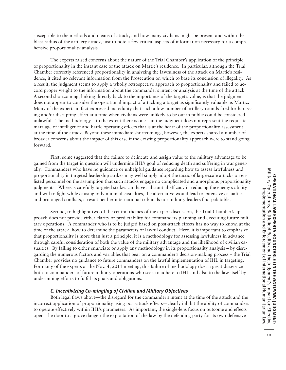susceptible to the methods and means of attack, and how many civilians might be present and within the blast radius of the artillery attack, just to note a few critical aspects of information necessary for a comprehensive proportionality analysis.

The experts raised concerns about the nature of the Trial Chamber's application of the principle of proportionality in the instant case of the attack on Martic's residence. In particular, although the Trial Chamber correctly referenced proportionality in analyzing the lawfulness of the attack on Martic's residence, it cited no relevant information from the Prosecution on which to base its conclusion of illegality. As a result, the judgment seems to apply a wholly retrospective approach to proportionality and failed to accord proper weight to the information about the commander's intent or analysis at the time of the attack. A second shortcoming, linking directly back to the importance of the target's value, is that the judgment does not appear to consider the operational impact of attacking a target as significantly valuable as Martic. Many of the experts in fact expressed incredulity that such a low number of artillery rounds fired for harassing and/or disrupting effect at a time when civilians were unlikely to be out in public could be considered unlawful. The methodology – to the extent there is one – in the judgment does not represent the requisite marriage of intelligence and battle operating effects that is at the heart of the proportionality assessment at the time of the attack. Beyond these immediate shortcomings, however, the experts shared a number of broader concerns about the impact of this case if the existing proportionality approach were to stand going forward.

First, some suggested that the failure to delineate and assign value to the military advantage to be gained from the target in question will undermine IHL's goal of reducing death and suffering in war generally. Commanders who have no guidance or unhelpful guidance regarding how to assess lawfulness and proportionality in targeted leadership strikes may well simply adopt the tactic of large-scale attacks on enlisted personnel on the assumption that such attacks engage no complicated and amorphous proportionality judgments. Whereas carefully targeted strikes can have substantial efficacy in reducing the enemy's ability and will to fight while causing only minimal casualties, the alternative would lead to extensive casualties and prolonged conflicts, a result neither international tribunals nor military leaders find palatable.

Second, to highlight two of the central themes of the expert discussion, the Trial Chamber's approach does not provide either clarity or predictability for commanders planning and executing future military operations. A commander who is to be judged based on post-attack effects has no way to know, at the time of the attack, how to determine the parameters of lawful conduct. Here, it is important to emphasize that proportionality is more than just a principle; it is a methodology for assessing lawfulness in advance through careful consideration of both the value of the military advantage and the likelihood of civilian casualties. By failing to either enunciate or apply any methodology in its proportionality analysis – by disregarding the numerous factors and variables that bear on a commander's decision-making process – the Trial Chamber provides no guidance to future commanders on the lawful implementation of IHL in targeting. For many of the experts at the Nov. 4, 2011 meeting, this failure of methodology does a great disservice both to commanders of future military operations who seek to adhere to IHL and also to the law itself by undermining efforts to fulfill its goals and obligations.

#### *C. Incentivizing Co-mingling of Civilian and Military Objectives*

Both legal flaws above—the disregard for the commander's intent at the time of the attack and the incorrect application of proportionality using post-attack effects—clearly inhibit the ability of commanders to operate effectively within IHL's parameters. As important, the single-lens focus on outcome and effects opens the door to a grave danger: the exploitation of the law by the defending party for its own defensive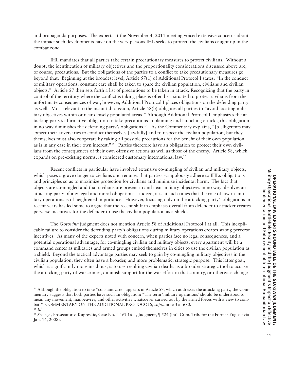and propaganda purposes. The experts at the November 4, 2011 meeting voiced extensive concerns about the impact such developments have on the very persons IHL seeks to protect: the civilians caught up in the combat zone.

IHL mandates that all parties take certain precautionary measures to protect civilians. Without a doubt, the identification of military objectives and the proportionality considerations discussed above are, of course, precautions. But the obligations of the parties to a conflict to take precautionary measures go beyond that. Beginning at the broadest level, Article 57(1) of Additional Protocol I states: "In the conduct of military operations, constant care shall be taken to spare the civilian population, civilians and civilian objects." Article 57 then sets forth a list of precautions to be taken in attack. Recognizing that the party in control of the territory where the conflict is taking place is often best situated to protect civilians from the unfortunate consequences of war, however, Additional Protocol I places obligations on the defending party as well. Most relevant to the instant discussion, Article 58(b) obligates all parties to "avoid locating military objectives within or near densely populated areas." Although Additional Protocol I emphasizes the attacking party's affirmative obligation to take precautions in planning and launching attacks, this obligation in no way diminishes the defending party's obligations.<sup>14</sup> As the Commentary explains, "[b]elligerents may expect their adversaries to conduct themselves [lawfully] and to respect the civilian population, but they themselves must also cooperate by taking all possible precautions for the benefit of their own population as is in any case in their own interest."15 Parties therefore have an obligation to protect their own civilians from the consequences of their own offensive actions as well as those of the enemy. Article 58, which expands on pre-existing norms, is considered customary international law.16

Recent conflicts in particular have involved extensive co-mingling of civilian and military objects, which poses a grave danger to civilians and requires that parties scrupulously adhere to IHL's obligations and principles so as to maximize protection for civilians and minimize incidental harm. The fact that objects are co-mingled and that civilians are present in and near military objectives in no way absolves an attacking party of any legal and moral obligations—indeed, it is at such times that the role of law in military operations is of heightened importance. However, focusing only on the attacking party's obligations in recent years has led some to argue that the recent shift in emphasis overall from defender to attacker creates perverse incentives for the defender to use the civilian population as a shield.

The *Gotovina* judgment does not mention Article 58 of Additional Protocol I at all. This inexplicable failure to consider the defending party's obligations during military operations creates strong perverse incentives. As many of the experts noted with concern, when parties face no legal consequences, and a potential operational advantage, for co-mingling civilian and military objects, every apartment will be a command center as militaries and armed groups embed themselves in cities to use the civilian population as a shield. Beyond the tactical advantage parties may seek to gain by co-mingling military objectives in the civilian population, they often have a broader, and more problematic, strategic purpose. This latter goal, which is significantly more insidious, is to use resulting civilian deaths as a broader strategic tool to accuse the attacking party of war crimes, diminish support for the war effort in that country, or otherwise change

<sup>&</sup>lt;sup>14</sup> Although the obligation to take "constant care" appears in Article 57, which addresses the attacking party, the Commentary suggests that both parties have such an obligation: "The term 'military operations' should be understood to mean any movement, manoeuvres, and other activities whatsoever carried out by the armed forces with a view to combat." COMMENTARY ON THE ADDITIONAL PROTOCOLS, *supra* note 3 at 680. <sup>15</sup> *Id.*

<sup>16</sup> *See e.g.,* Prosecutor v. Kupreskic, Case No. IT-95-16-T, Judgment, ¶ 524 (Int'l Crim. Trib. for the Former Yugoslavia Jan. 14, 2008).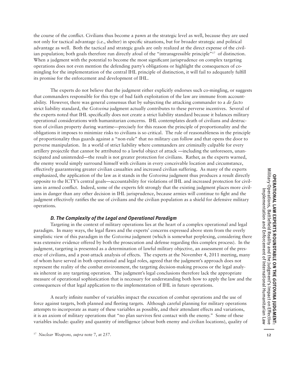the course of the conflict. Civilians thus become a pawn at the strategic level as well, because they are used not only for tactical advantage (i.e., shelter) in specific situations, but for broader strategic and political advantage as well. Both the tactical and strategic goals are only realized at the direct expense of the civilian population; both goals therefore run directly afoul of the "intransgressible principle"<sup>17</sup> of distinction. When a judgment with the potential to become the most significant jurisprudence on complex targeting operations does not even mention the defending party's obligations or highlight the consequences of comingling for the implementation of the central IHL principle of distinction, it will fail to adequately fulfill its promise for the enforcement and development of IHL.

The experts do not believe that the judgment either explicitly endorses such co-mingling, or suggests that commanders responsible for this type of bad faith exploitation of the law are immune from accountability. However, there was general consensus that by subjecting the attacking commander to a *de facto* strict liability standard, the *Gotovina* judgment actually contributes to these perverse incentives. Several of the experts noted that IHL specifically does not create a strict liability standard because it balances military operational considerations with humanitarian concerns. IHL contemplates death of civilians and destruction of civilian property during wartime—precisely for this reason the principle of proportionality and the obligations it imposes to minimize risks to civilians is so critical. The rule of reasonableness in the principle of proportionality thus guards against a "non-rule" that no military can follow and that opens the door to perverse manipulation. In a world of strict liability where commanders are criminally culpable for every artillery projectile that cannot be attributed to a lawful object of attack —including the unforeseen, unanticipated and unintended—the result is not greater protection for civilians. Rather, as the experts warned, the enemy would simply surround himself with civilians in every conceivable location and circumstance, effectively guaranteeing greater civilian casualties and increased civilian suffering. As many of the experts emphasized, the application of the law as it stands in the *Gotovina* judgment thus produces a result directly opposite to the ICTY's central goals—accountability for violations of IHL and increased protection for civilians in armed conflict. Indeed, some of the experts felt strongly that the existing judgment places more civilians in danger than any other decision in IHL jurisprudence, because armies will continue to fight and the judgment effectively ratifies the use of civilians and the civilian population as a shield for defensive military operations.

#### *D. The Complexity of the Legal and Operational Paradigm*

Targeting in the context of military operations lies at the heart of a complex operational and legal paradigm. In many ways, the legal flaws and the experts' concerns expressed above stem from the overly simplistic view of this paradigm in the *Gotovina* judgment (which is somewhat perplexing, considering there was extensive evidence offered by both the prosecution and defense regarding this complex process). In the judgment, targeting is presented as a determination of lawful military objective, an assessment of the presence of civilians, and a post-attack analysis of effects. The experts at the November 4, 2011 meeting, many of whom have served in both operational and legal roles, agreed that the judgment's approach does not represent the reality of the combat environment, the targeting decision-making process or the legal analysis inherent in any targeting operation. The judgment's legal conclusions therefore lack the appropriate measure of operational sophistication that is necessary for understanding both how to apply the law and the consequences of that legal application to the implementation of IHL in future operations.

A nearly infinite number of variables impact the execution of combat operations and the use of force against targets, both planned and fleeting targets. Although careful planning for military operations attempts to incorporate as many of these variables as possible, and their attendant effects and variations, it is an axiom of military operations that "no plan survives first contact with the enemy." Some of these variables include: quality and quantity of intelligence (about both enemy and civilian locations), quality of

<sup>17</sup> *Nuclear Weapons, supra* note 7, at 257.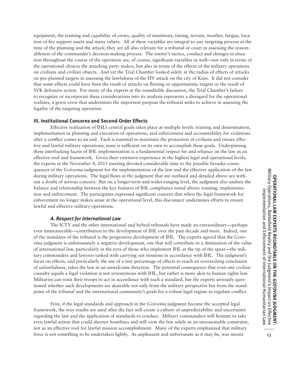realities, a grave error that undermines the important purpose the tribunal seeks to achieve in assessing the Effective realization of IHL's central goals takes place at multiple levels: training and dissemination, implementation in planning and execution of operations, and enforcement and accountability for violations after a conflict comes to an end. Each is essential to maximize the protection of civilians and ensure effective and lawful military operations; none is sufficient on its own to accomplish these goals. Underpinning these interlocking facets of IHL implementation is a fundamental respect for and reliance on the law as an effective tool and framework. Given their extensive experience at the highest legal and operational levels, the experts at the November 4, 2011 meeting devoted considerable time to the possible broader consequences of the *Gotovina* judgment for the implementation of the law and the effective application of the law Military Operations, Battlefield Reality and the Judgment's Impact on Effective<br>Implementation and Enforcement of International Humanitarian Law Military Operations, Battlefield Reality and the Judgment's Impact on Effective during military operations. The legal flaws in the judgment that are outlined and detailed above are without a doubt of serious concern. But on a longer-term and wider-ranging level, the judgment also undoes the Implementation and Enforcement of International Humanitarian Law

**III. Institutional Concerns and Second-Order Effects**

legality of the targeting operation.

balance and relationship between the key features of IHL compliance noted above: training, implementation and enforcement. The participants expressed significant concern that when the legal framework for enforcement no longer makes sense at the operational level, this disconnect undermines efforts to ensure lawful and effective military operations.

equipment, the training and capability of crews, quality of munitions, timing, terrain, weather, fatigue, location of fire support assets and many others. All of these variables are integral to any targeting process at the time of the planning and the attack; they are all also relevant for a tribunal or court in assessing the reasonableness of the commander's decision-making process. The enemy's tactics, conduct and changes in situation throughout the course of the operation are, of course, significant variables as well—not only in terms of the operational choices the attacking party makes, but also in terms of the effects of the military operations on civilians and civilian objects. And yet the Trial Chamber looked solely at the radius of effects of attacks on pre-planned targets in assessing the lawfulness of the HV attack on the city of Knin. It did not consider that some effects could have been the result of attacks on fleeting or opportunistic targets or the result of SVK defensive action. For many of the experts at the roundtable discussion, the Trial Chamber's failure to recognize or incorporate these considerations into its analysis represents a disregard for the operational

## *A. Respect for International Law*

The ICTY and the other international and hybrid tribunals have made an extraordinary—perhaps even immeasurable—contribution to the development of IHL over the past decade and more. Indeed, one of the mandates of the tribunal is the progressive development of IHL. The experts agreed that the *Gotovina* judgment is unfortunately a negative development, one that will contribute to a diminution of the value of international law, particularly in the eyes of those who implement IHL at the tip of the spear—the military commanders and lawyers tasked with carrying out missions in accordance with IHL. The judgment's focus on effects, and particularly the use of a tiny percentage of effects to reach an overarching conclusion of unlawfulness, takes the law in an unwelcome direction. The potential consequence that even one civilian casualty equals a legal violation is not synonymous with IHL, but rather is more akin to human rights law. Militaries can train their troops to act in accordance with such a standard, but the experts seriously questioned whether such developments are desirable not only from the military perspective but from the standpoint of the tribunal and the international community's goals for a robust legal regime to regulate conflict.

First, if the legal standards and approach in the *Gotovina* judgment become the accepted legal framework, the way results are used after the fact will create a culture of unpredictability and uncertainty regarding the law and the application of standards to conduct. Military commanders will hesitate to take even lawful action that could shorten hostilities and will view the law solely as an unreasonable constraint, not as an effective tool for lawful mission accomplishment. Many of the experts emphasized that military force is not something to be undertaken lightly. As unpleasant and unfortunate as it may be, war means

**OPERATIONAL LAW EXPERTS ROUNDTABLE ON THE**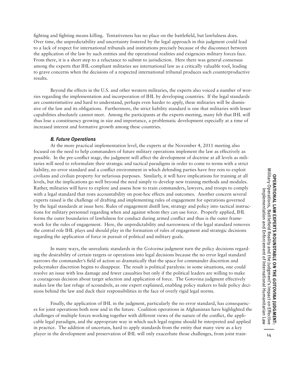fighting and fighting means killing. Tentativeness has no place on the battlefield, but lawfulness does. Over time, the unpredictability and uncertainty fostered by the legal approach in this judgment could lead to a lack of respect for international tribunals and institutions precisely because of the disconnect between the application of the law by such entities and the operational realities and exigencies military forces face. From there, it is a short step to a reluctance to submit to jurisdiction. Here there was general consensus among the experts that IHL-compliant militaries see international law as a critically valuable tool, leading to grave concerns when the decisions of a respected international tribunal produces such counterproductive results.

Beyond the effects in the U.S. and other western militaries, the experts also voiced a number of worries regarding the implementation and incorporation of IHL by developing countries. If the legal standards are counterintuitive and hard to understand, perhaps even harder to apply, these militaries will be dismissive of the law and its obligations. Furthermore, the strict liability standard is one that militaries with lesser capabilities absolutely cannot meet. Among the participants at the experts meeting, many felt that IHL will thus lose a constituency growing in size and importance, a problematic development especially at a time of increased interest and formative growth among these countries.

#### *B. Future Operations*

At the more practical implementation level, the experts at the November 4, 2011 meeting also focused on the need to help commanders of future military operations implement the law as effectively as possible. In the pre-conflict stage, the judgment will affect the development of doctrine at all levels as militaries will need to reformulate their strategic and tactical paradigms in order to come to terms with a strict liability, no error standard and a conflict environment in which defending parties have free rein to exploit civilians and civilian property for nefarious purposes. Similarly, it will have implications for training at all levels, but the implications go well beyond the need simply to develop new training methods and modules. Rather, militaries will have to explore and assess how to train commanders, lawyers, and troops to comply with a legal standard that rests accountability on post-hoc effects and outcomes. Another concern several experts raised is the challenge of drafting and implementing rules of engagement for operations governed by the legal standards at issue here. Rules of engagement distill law, strategy and policy into tactical instructions for military personnel regarding when and against whom they can use force. Properly applied, IHL forms the outer boundaries of lawfulness for conduct during armed conflict and thus is the outer framework for the rules of engagement. Here, the unpredictability and narrowness of the legal standard removes the central role IHL plays and should play in the formation of rules of engagement and strategic decisions regarding the application of force in pursuit of political and military goals.

In many ways, the unrealistic standards in the *Gotovina* judgment turn the policy decisions regarding the desirability of certain targets or operations into legal decisions because the no error legal standard narrows the commander's field of action so dramatically that the space for commander discretion and policymaker discretion begins to disappear. The result is political paralysis: in some situations, one could resolve an issue with less damage and fewer casualties but only if the political leaders are willing to make a courageous decision about target selection and application of force. The Gotovina judgment effectively makes law the last refuge of scoundrels, as one expert explained, enabling policy makers to hide policy decisions behind the law and duck their responsibilities in the face of overly rigid legal norms.

Finally, the application of IHL in the judgment, particularly the no error standard, has consequences for joint operations both now and in the future. Coalition operations in Afghanistan have highlighted the challenges of multiple forces working together with different views of the nature of the conflict, the applicable legal paradigm, and the appropriate way in which such legal regime should be interpreted and applied in practice. The addition of uncertain, hard to apply standards from the entity that many view as a key player in the development and preservation of IHL will only exacerbate those challenges, from joint train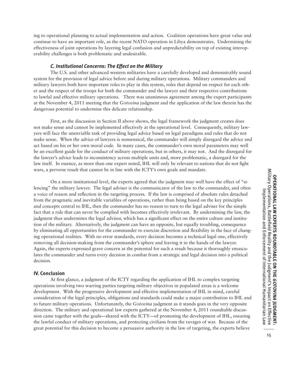ing to operational planning to actual implementation and action. Coalition operations have great value and continue to have an important role, as the recent NATO operation in Libya demonstrates. Undermining the effectiveness of joint operations by layering legal confusion and unpredictability on top of existing interoperability challenges is both problematic and undesirable.

#### *C. Institutional Concerns: The Effect on the Military*

The U.S. and other advanced western militaries have a carefully developed and demonstrably sound system for the provision of legal advice before and during military operations. Military commanders and military lawyers both have important roles to play in this system, roles that depend on respect for each other and the respect of the troops for both the commander and the lawyer and their respective contributions to lawful and effective military operations. There was unanimous agreement among the expert participants at the November 4, 2011 meeting that the *Gotovina* judgment and the application of the law therein has the dangerous potential to undermine this delicate relationship.

First, as the discussion in Section II above shows, the legal framework the judgment creates does not make sense and cannot be implemented effectively at the operational level. Consequently, military lawyers will face the unenviable task of providing legal advice based on legal paradigms and rules that do not make sense. When the advice of lawyers is nonsensical, the commander will simply disregard the advice and act based on his or her own moral code. In many cases, the commander's own moral parameters may well be an excellent guide for the conduct of military operations, but in others, it may not. And the disregard for the lawyer's advice leads to inconsistency across multiple units and, more problematic, a disregard for the law itself. In essence, as more than one expert noted, IHL will only be relevant to nations that do not fight wars, a perverse result that cannot be in line with the ICTY's own goals and mandate.

On a more institutional level, the experts agreed that the judgment may well have the effect of "silencing" the military lawyer. The legal adviser is the communicator of the law to the commander, and often a voice of reason and reflection in the targeting process. If the law is comprised of absolute rules detached from the pragmatic and inevitable variables of operations, rather than being based on the key principles and concepts central to IHL, then the commander has no reason to turn to the legal adviser for the simple fact that a rule that can never be complied with becomes effectively irrelevant. By undermining the law, the judgment thus undermines the legal advisor, which has a significant effect on the entire culture and institution of the military. Alternatively, the judgment can have an opposite, but equally troubling, consequence by eliminating all opportunities for the commander to exercise discretion and flexibility in the face of changing operational realities. With no error standards, every decision becomes a technical legal one, effectively removing all decision-making from the commander's sphere and leaving it in the hands of the lawyer. Again, the experts expressed grave concern at the potential for such a result because it thoroughly emasculates the commander and turns every decision in combat from a strategic and legal decision into a political decision.

#### **IV. Conclusion**

At first glance, a judgment of the ICTY regarding the application of IHL to complex targeting operations involving two warring parties targeting military objectives in populated areas is a welcome development. With the progressive development and effective implementation of IHL in mind, careful consideration of the legal principles, obligations and standards could make a major contribution to IHL and to future military operations. Unfortunately, the *Gotovina* judgment as it stands goes in the very opposite direction. The military and operational law experts gathered at the November 4, 2011 roundtable discussion came together with the goals—shared with the ICTY—of promoting the development of IHL, ensuring the lawful conduct of military operations, and protecting civilians from the ravages of war. Because of the great potential for this decision to become a persuasive authority in the law of targeting, the experts believe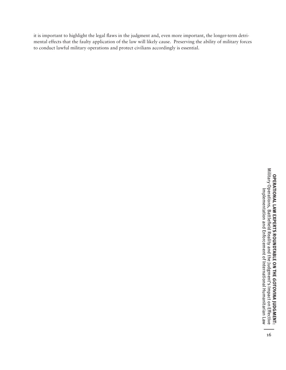it is important to highlight the legal flaws in the judgment and, even more important, the longer-term detrimental effects that the faulty application of the law will likely cause. Preserving the ability of military forces to conduct lawful military operations and protect civilians accordingly is essential.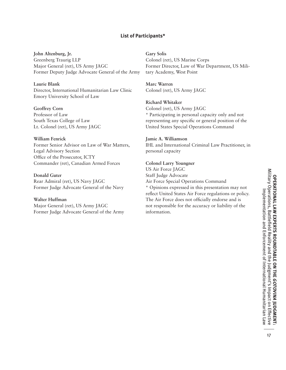# **List of Participants\***

**John Altenburg, Jr.** Greenberg Traurig LLP Major General (ret), US Army JAGC Former Deputy Judge Advocate General of the Army

**Laurie Blank** Director, International Humanitarian Law Clinic Emory University School of Law

**Geoffrey Corn** Professor of Law South Texas College of Law Lt. Colonel (ret), US Army JAGC

# **William Fenrick** Former Senior Advisor on Law of War Matters, Legal Advisory Section

Office of the Prosecutor, ICTY Commander (ret), Canadian Armed Forces

#### **Donald Guter**

Rear Admiral (ret), US Navy JAGC Former Judge Advocate General of the Navy

### **Walter Huffman**

Major General (ret), US Army JAGC Former Judge Advocate General of the Army **Gary Solis**

Colonel (ret), US Marine Corps Former Director, Law of War Department, US Military Academy, West Point

**Marc Warren** Colonel (ret), US Army JAGC

#### **Richard Whitaker**

Colonel (ret), US Army JAGC \* Participating in personal capacity only and not representing any specific or general position of the United States Special Operations Command

#### **Jamie A. Williamson**

IHL and International Criminal Law Practitioner, in personal capacity

#### **Colonel Larry Youngner**

US Air Force JAGC Staff Judge Advocate Air Force Special Operations Command \* Opinions expressed in this presentation may not

reflect United States Air Force regulations or policy. The Air Force does not officially endorse and is not responsible for the accuracy or liability of the information.